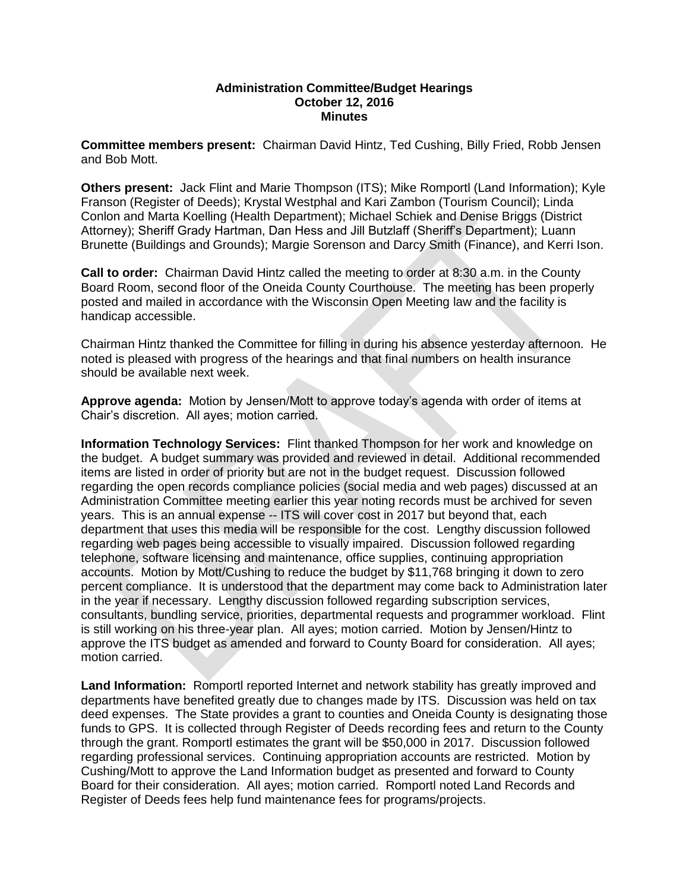## **Administration Committee/Budget Hearings October 12, 2016 Minutes**

**Committee members present:** Chairman David Hintz, Ted Cushing, Billy Fried, Robb Jensen and Bob Mott.

**Others present:** Jack Flint and Marie Thompson (ITS); Mike Romportl (Land Information); Kyle Franson (Register of Deeds); Krystal Westphal and Kari Zambon (Tourism Council); Linda Conlon and Marta Koelling (Health Department); Michael Schiek and Denise Briggs (District Attorney); Sheriff Grady Hartman, Dan Hess and Jill Butzlaff (Sheriff's Department); Luann Brunette (Buildings and Grounds); Margie Sorenson and Darcy Smith (Finance), and Kerri Ison.

**Call to order:** Chairman David Hintz called the meeting to order at 8:30 a.m. in the County Board Room, second floor of the Oneida County Courthouse. The meeting has been properly posted and mailed in accordance with the Wisconsin Open Meeting law and the facility is handicap accessible.

Chairman Hintz thanked the Committee for filling in during his absence yesterday afternoon. He noted is pleased with progress of the hearings and that final numbers on health insurance should be available next week.

**Approve agenda:** Motion by Jensen/Mott to approve today's agenda with order of items at Chair's discretion. All ayes; motion carried.

**Information Technology Services:** Flint thanked Thompson for her work and knowledge on the budget. A budget summary was provided and reviewed in detail. Additional recommended items are listed in order of priority but are not in the budget request. Discussion followed regarding the open records compliance policies (social media and web pages) discussed at an Administration Committee meeting earlier this year noting records must be archived for seven years. This is an annual expense -- ITS will cover cost in 2017 but beyond that, each department that uses this media will be responsible for the cost. Lengthy discussion followed regarding web pages being accessible to visually impaired. Discussion followed regarding telephone, software licensing and maintenance, office supplies, continuing appropriation accounts. Motion by Mott/Cushing to reduce the budget by \$11,768 bringing it down to zero percent compliance. It is understood that the department may come back to Administration later in the year if necessary. Lengthy discussion followed regarding subscription services, consultants, bundling service, priorities, departmental requests and programmer workload. Flint is still working on his three-year plan. All ayes; motion carried. Motion by Jensen/Hintz to approve the ITS budget as amended and forward to County Board for consideration. All ayes; motion carried.

Land Information: Romportl reported Internet and network stability has greatly improved and departments have benefited greatly due to changes made by ITS. Discussion was held on tax deed expenses. The State provides a grant to counties and Oneida County is designating those funds to GPS. It is collected through Register of Deeds recording fees and return to the County through the grant. Romportl estimates the grant will be \$50,000 in 2017. Discussion followed regarding professional services. Continuing appropriation accounts are restricted. Motion by Cushing/Mott to approve the Land Information budget as presented and forward to County Board for their consideration. All ayes; motion carried. Romportl noted Land Records and Register of Deeds fees help fund maintenance fees for programs/projects.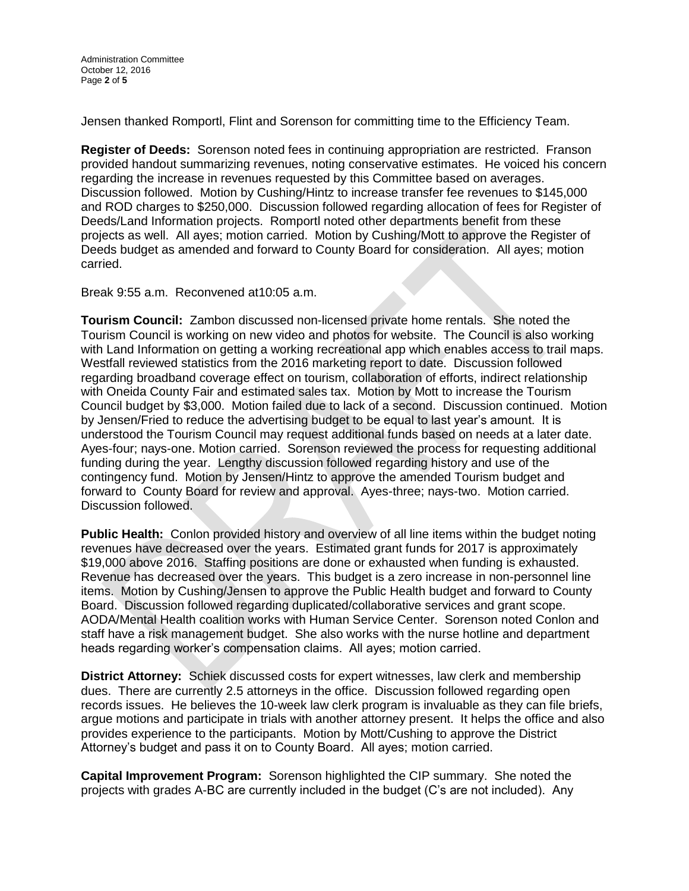Jensen thanked Romportl, Flint and Sorenson for committing time to the Efficiency Team.

**Register of Deeds:** Sorenson noted fees in continuing appropriation are restricted. Franson provided handout summarizing revenues, noting conservative estimates. He voiced his concern regarding the increase in revenues requested by this Committee based on averages. Discussion followed. Motion by Cushing/Hintz to increase transfer fee revenues to \$145,000 and ROD charges to \$250,000. Discussion followed regarding allocation of fees for Register of Deeds/Land Information projects. Romportl noted other departments benefit from these projects as well. All ayes; motion carried. Motion by Cushing/Mott to approve the Register of Deeds budget as amended and forward to County Board for consideration. All ayes; motion carried.

Break 9:55 a.m. Reconvened at10:05 a.m.

**Tourism Council:** Zambon discussed non-licensed private home rentals. She noted the Tourism Council is working on new video and photos for website. The Council is also working with Land Information on getting a working recreational app which enables access to trail maps. Westfall reviewed statistics from the 2016 marketing report to date. Discussion followed regarding broadband coverage effect on tourism, collaboration of efforts, indirect relationship with Oneida County Fair and estimated sales tax. Motion by Mott to increase the Tourism Council budget by \$3,000. Motion failed due to lack of a second. Discussion continued. Motion by Jensen/Fried to reduce the advertising budget to be equal to last year's amount. It is understood the Tourism Council may request additional funds based on needs at a later date. Ayes-four; nays-one. Motion carried. Sorenson reviewed the process for requesting additional funding during the year. Lengthy discussion followed regarding history and use of the contingency fund. Motion by Jensen/Hintz to approve the amended Tourism budget and forward to County Board for review and approval. Ayes-three; nays-two. Motion carried. Discussion followed.

**Public Health:** Conlon provided history and overview of all line items within the budget noting revenues have decreased over the years. Estimated grant funds for 2017 is approximately \$19,000 above 2016. Staffing positions are done or exhausted when funding is exhausted. Revenue has decreased over the years. This budget is a zero increase in non-personnel line items. Motion by Cushing/Jensen to approve the Public Health budget and forward to County Board. Discussion followed regarding duplicated/collaborative services and grant scope. AODA/Mental Health coalition works with Human Service Center. Sorenson noted Conlon and staff have a risk management budget. She also works with the nurse hotline and department heads regarding worker's compensation claims. All ayes; motion carried.

**District Attorney:** Schiek discussed costs for expert witnesses, law clerk and membership dues. There are currently 2.5 attorneys in the office. Discussion followed regarding open records issues. He believes the 10-week law clerk program is invaluable as they can file briefs, argue motions and participate in trials with another attorney present. It helps the office and also provides experience to the participants. Motion by Mott/Cushing to approve the District Attorney's budget and pass it on to County Board. All ayes; motion carried.

**Capital Improvement Program:** Sorenson highlighted the CIP summary. She noted the projects with grades A-BC are currently included in the budget (C's are not included). Any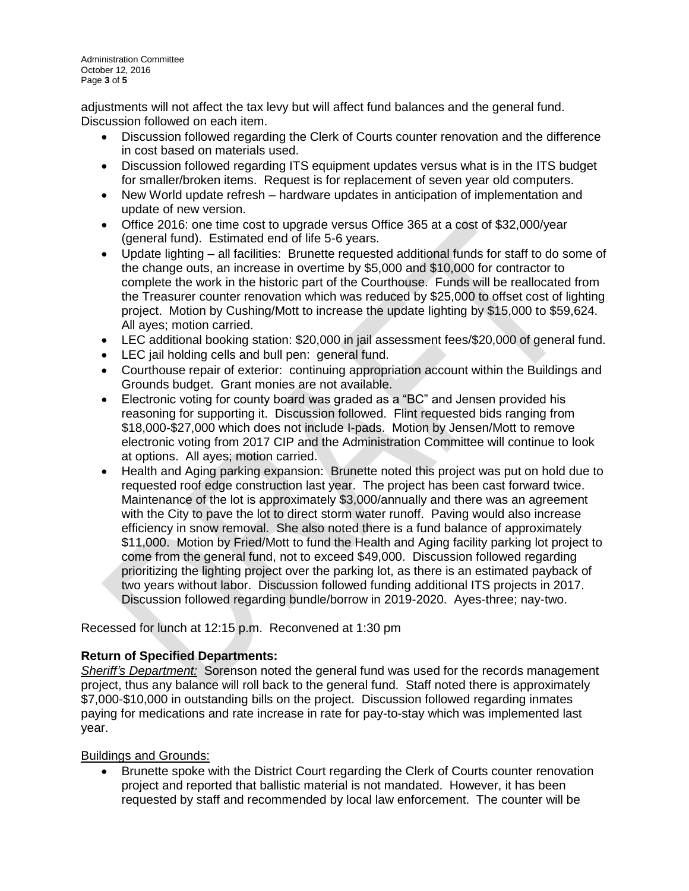adjustments will not affect the tax levy but will affect fund balances and the general fund. Discussion followed on each item.

- Discussion followed regarding the Clerk of Courts counter renovation and the difference in cost based on materials used.
- Discussion followed regarding ITS equipment updates versus what is in the ITS budget for smaller/broken items. Request is for replacement of seven year old computers.
- New World update refresh hardware updates in anticipation of implementation and update of new version.
- Office 2016: one time cost to upgrade versus Office 365 at a cost of \$32,000/year (general fund). Estimated end of life 5-6 years.
- Update lighting all facilities: Brunette requested additional funds for staff to do some of the change outs, an increase in overtime by \$5,000 and \$10,000 for contractor to complete the work in the historic part of the Courthouse. Funds will be reallocated from the Treasurer counter renovation which was reduced by \$25,000 to offset cost of lighting project. Motion by Cushing/Mott to increase the update lighting by \$15,000 to \$59,624. All ayes; motion carried.
- LEC additional booking station: \$20,000 in jail assessment fees/\$20,000 of general fund.
- LEC jail holding cells and bull pen: general fund.
- Courthouse repair of exterior: continuing appropriation account within the Buildings and Grounds budget. Grant monies are not available.
- Electronic voting for county board was graded as a "BC" and Jensen provided his reasoning for supporting it. Discussion followed. Flint requested bids ranging from \$18,000-\$27,000 which does not include I-pads. Motion by Jensen/Mott to remove electronic voting from 2017 CIP and the Administration Committee will continue to look at options. All ayes; motion carried.
- Health and Aging parking expansion: Brunette noted this project was put on hold due to requested roof edge construction last year. The project has been cast forward twice. Maintenance of the lot is approximately \$3,000/annually and there was an agreement with the City to pave the lot to direct storm water runoff. Paving would also increase efficiency in snow removal. She also noted there is a fund balance of approximately \$11,000. Motion by Fried/Mott to fund the Health and Aging facility parking lot project to come from the general fund, not to exceed \$49,000. Discussion followed regarding prioritizing the lighting project over the parking lot, as there is an estimated payback of two years without labor. Discussion followed funding additional ITS projects in 2017. Discussion followed regarding bundle/borrow in 2019-2020. Ayes-three; nay-two.

Recessed for lunch at 12:15 p.m. Reconvened at 1:30 pm

## **Return of Specified Departments:**

*Sheriff's Department:* Sorenson noted the general fund was used for the records management project, thus any balance will roll back to the general fund. Staff noted there is approximately \$7,000-\$10,000 in outstanding bills on the project. Discussion followed regarding inmates paying for medications and rate increase in rate for pay-to-stay which was implemented last year.

Buildings and Grounds:

 Brunette spoke with the District Court regarding the Clerk of Courts counter renovation project and reported that ballistic material is not mandated. However, it has been requested by staff and recommended by local law enforcement. The counter will be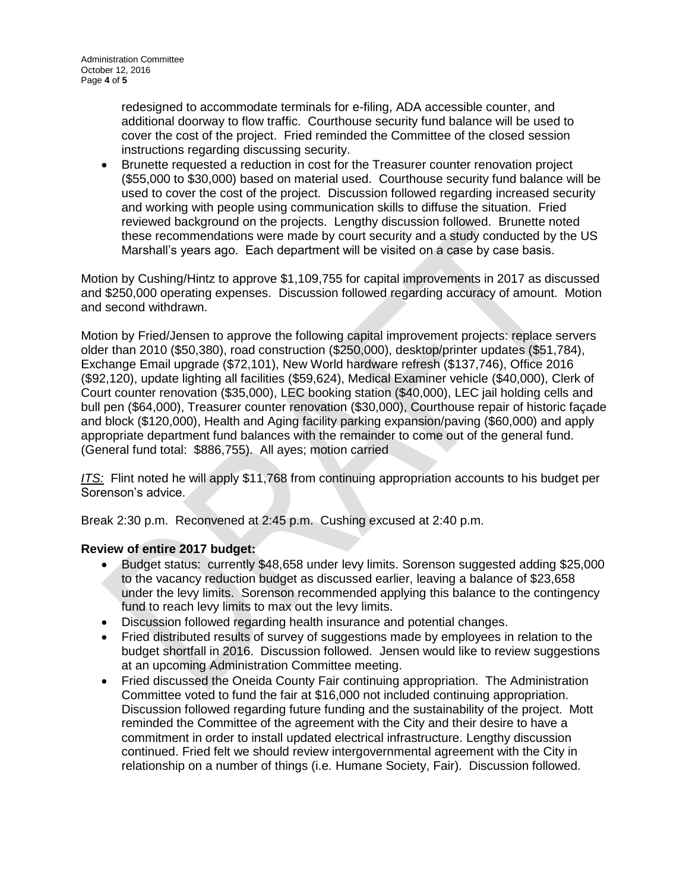redesigned to accommodate terminals for e-filing, ADA accessible counter, and additional doorway to flow traffic. Courthouse security fund balance will be used to cover the cost of the project. Fried reminded the Committee of the closed session instructions regarding discussing security.

 Brunette requested a reduction in cost for the Treasurer counter renovation project (\$55,000 to \$30,000) based on material used. Courthouse security fund balance will be used to cover the cost of the project. Discussion followed regarding increased security and working with people using communication skills to diffuse the situation. Fried reviewed background on the projects. Lengthy discussion followed. Brunette noted these recommendations were made by court security and a study conducted by the US Marshall's years ago. Each department will be visited on a case by case basis.

Motion by Cushing/Hintz to approve \$1,109,755 for capital improvements in 2017 as discussed and \$250,000 operating expenses. Discussion followed regarding accuracy of amount. Motion and second withdrawn.

Motion by Fried/Jensen to approve the following capital improvement projects: replace servers older than 2010 (\$50,380), road construction (\$250,000), desktop/printer updates (\$51,784), Exchange Email upgrade (\$72,101), New World hardware refresh (\$137,746), Office 2016 (\$92,120), update lighting all facilities (\$59,624), Medical Examiner vehicle (\$40,000), Clerk of Court counter renovation (\$35,000), LEC booking station (\$40,000), LEC jail holding cells and bull pen (\$64,000), Treasurer counter renovation (\$30,000), Courthouse repair of historic façade and block (\$120,000), Health and Aging facility parking expansion/paving (\$60,000) and apply appropriate department fund balances with the remainder to come out of the general fund. (General fund total: \$886,755). All ayes; motion carried

*ITS:* Flint noted he will apply \$11,768 from continuing appropriation accounts to his budget per Sorenson's advice.

Break 2:30 p.m. Reconvened at 2:45 p.m. Cushing excused at 2:40 p.m.

## **Review of entire 2017 budget:**

- Budget status: currently \$48,658 under levy limits. Sorenson suggested adding \$25,000 to the vacancy reduction budget as discussed earlier, leaving a balance of \$23,658 under the levy limits. Sorenson recommended applying this balance to the contingency fund to reach levy limits to max out the levy limits.
- Discussion followed regarding health insurance and potential changes.
- Fried distributed results of survey of suggestions made by employees in relation to the budget shortfall in 2016. Discussion followed. Jensen would like to review suggestions at an upcoming Administration Committee meeting.
- Fried discussed the Oneida County Fair continuing appropriation. The Administration Committee voted to fund the fair at \$16,000 not included continuing appropriation. Discussion followed regarding future funding and the sustainability of the project. Mott reminded the Committee of the agreement with the City and their desire to have a commitment in order to install updated electrical infrastructure. Lengthy discussion continued. Fried felt we should review intergovernmental agreement with the City in relationship on a number of things (i.e. Humane Society, Fair). Discussion followed.